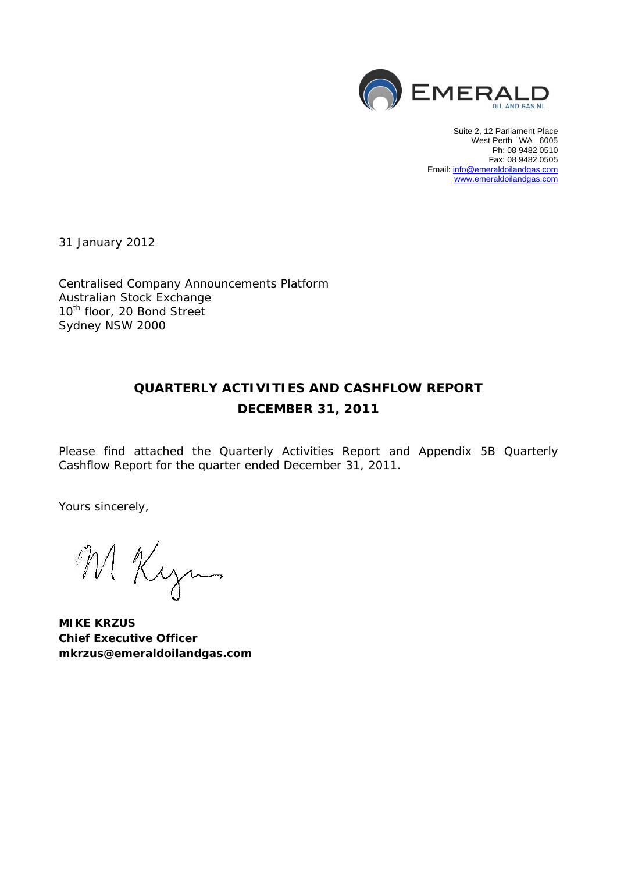

Suite 2, 12 Parliament Place West Perth WA 6005 Ph: 08 9482 0510 Fax: 08 9482 0505 Email: info@emeraldoilandgas.com www.emeraldoilandgas.com

31 January 2012

Centralised Company Announcements Platform Australian Stock Exchange 10<sup>th</sup> floor, 20 Bond Street Sydney NSW 2000

# **QUARTERLY ACTIVITIES AND CASHFLOW REPORT DECEMBER 31, 2011**

Please find attached the Quarterly Activities Report and Appendix 5B Quarterly Cashflow Report for the quarter ended December 31, 2011.

Yours sincerely,

M Kyn

**MIKE KRZUS Chief Executive Officer**  *mkrzus@emeraldoilandgas.com*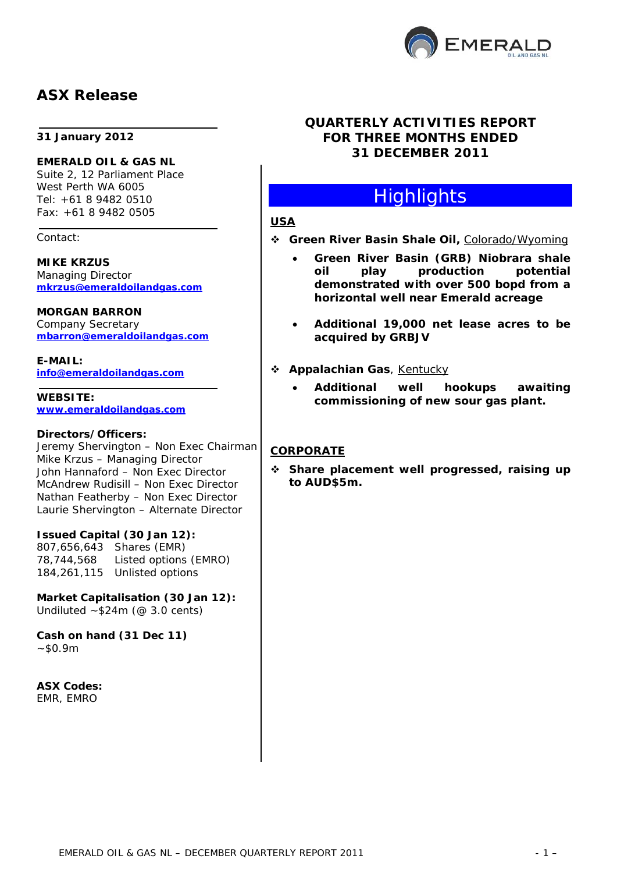

## **ASX Release**

#### **31 January 2012**

**EMERALD OIL & GAS NL**  Suite 2, 12 Parliament Place West Perth WA 6005 Tel: +61 8 9482 0510 Fax: +61 8 9482 0505

Contact:

**MIKE KRZUS**  Managing Director *mkrzus@emeraldoilandgas.com*

#### **MORGAN BARRON**

Company Secretary *mbarron@emeraldoilandgas.com* 

**E-MAIL:**  *info@emeraldoilandgas.com* 

**WEBSITE:**  *www.emeraldoilandgas.com*

#### **Directors/Officers:**

Jeremy Shervington – Non Exec Chairman Mike Krzus – Managing Director John Hannaford – Non Exec Director McAndrew Rudisill – Non Exec Director Nathan Featherby – Non Exec Director Laurie Shervington – Alternate Director

#### **Issued Capital (30 Jan 12):**

807,656,643 Shares (EMR) 78,744,568 Listed options (EMRO) 184,261,115 Unlisted options

#### **Market Capitalisation (30 Jan 12):**  Undiluted  $~524m$  (@ 3.0 cents)

**Cash on hand (31 Dec 11)**   $~50.9m$ 

**ASX Codes:**  EMR, EMRO

#### **QUARTERLY ACTIVITIES REPORT FOR THREE MONTHS ENDED 31 DECEMBER 2011**

# **Highlights**

#### **USA**

- *Green River Basin Shale Oil,* Colorado/Wyoming
	- **Green River Basin (GRB) Niobrara shale oil play production potential demonstrated with over 500 bopd from a horizontal well near Emerald acreage**
	- **Additional 19,000 net lease acres to be acquired by GRBJV**
- *Appalachian Gas*, Kentucky
	- **Additional well hookups awaiting commissioning of new sour gas plant.**

#### **CORPORATE**

 **Share placement well progressed, raising up to AUD\$5m.**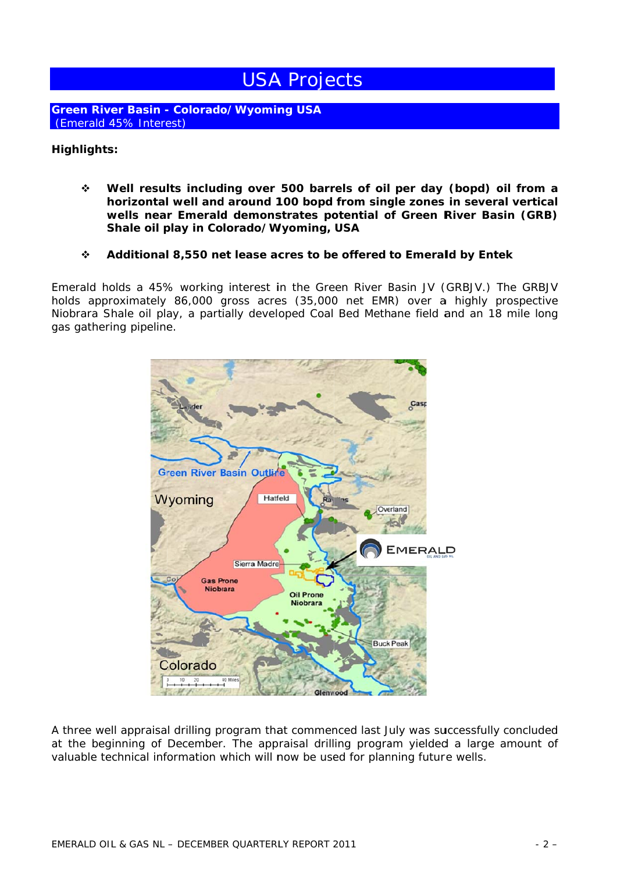# **USA Projects**

**Green River Basin - Colorado/Wyoming USA** *(Emerald 45% Interest)* 

#### **H Highlights s:**

- $\dot{\mathbf{v}}$  Well results including over 500 barrels of oil per day (bopd) oil from a **horizontal well and around 100 bopd from single zones in several vertical** horizontal well and around 100 bopd from single zones in several vertical<br>wells near Emerald demonstrates potential of Green River Basin (GRB) Shale oil play in Colorado/Wyoming, USA
- **2** Additional 8,550 net lease acres to be offered to Emerald by Entek

Emerald holds a 45% working interest in the Green River Basin JV (GRBJV.) The GRBJV holds approximately 86,000 gross acres (35,000 net EMR) over a highly prospective Niobrara Shale oil play, a partially developed Coal Bed Methane field and an 18 mile long gas gathering pipeline. V<br>eeg<br>dd



A three well appraisal drilling program that commenced last July was successfully concluded at the beginning of December. The appraisal drilling program yielded a large amount of valuable technical information which will now be used for planning future wells.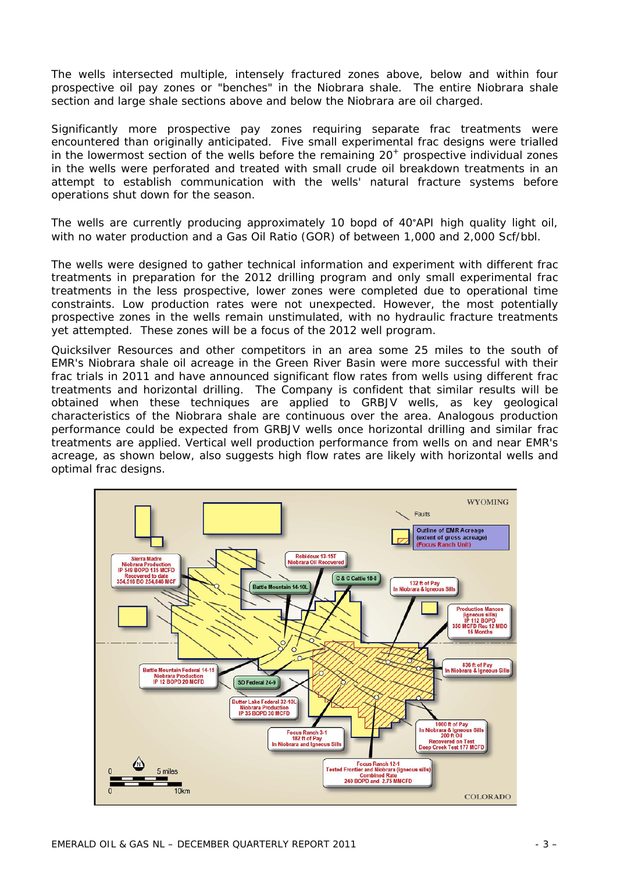The wells intersected multiple, intensely fractured zones above, below and within four prospective oil pay zones or "benches" in the Niobrara shale. The entire Niobrara shale section and large shale sections above and below the Niobrara are oil charged.

Significantly more prospective pay zones requiring separate frac treatments were encountered than originally anticipated. Five small experimental frac designs were trialled in the lowermost section of the wells before the remaining  $20<sup>+</sup>$  prospective individual zones in the wells were perforated and treated with small crude oil breakdown treatments in an attempt to establish communication with the wells' natural fracture systems before operations shut down for the season.

The wells are currently producing approximately 10 bopd of 40°API high quality light oil, with no water production and a Gas Oil Ratio (GOR) of between 1,000 and 2,000 Scf/bbl.

The wells were designed to gather technical information and experiment with different frac treatments in preparation for the 2012 drilling program and only small experimental frac treatments in the less prospective, lower zones were completed due to operational time constraints. Low production rates were not unexpected. However, the most potentially prospective zones in the wells remain unstimulated, with no hydraulic fracture treatments yet attempted. These zones will be a focus of the 2012 well program.

Quicksilver Resources and other competitors in an area some 25 miles to the south of EMR's Niobrara shale oil acreage in the Green River Basin were more successful with their frac trials in 2011 and have announced significant flow rates from wells using different frac treatments and horizontal drilling. The Company is confident that similar results will be obtained when these techniques are applied to GRBJV wells, as key geological characteristics of the Niobrara shale are continuous over the area. Analogous production performance could be expected from GRBJV wells once horizontal drilling and similar frac treatments are applied. Vertical well production performance from wells on and near EMR's acreage, as shown below, also suggests high flow rates are likely with horizontal wells and optimal frac designs.

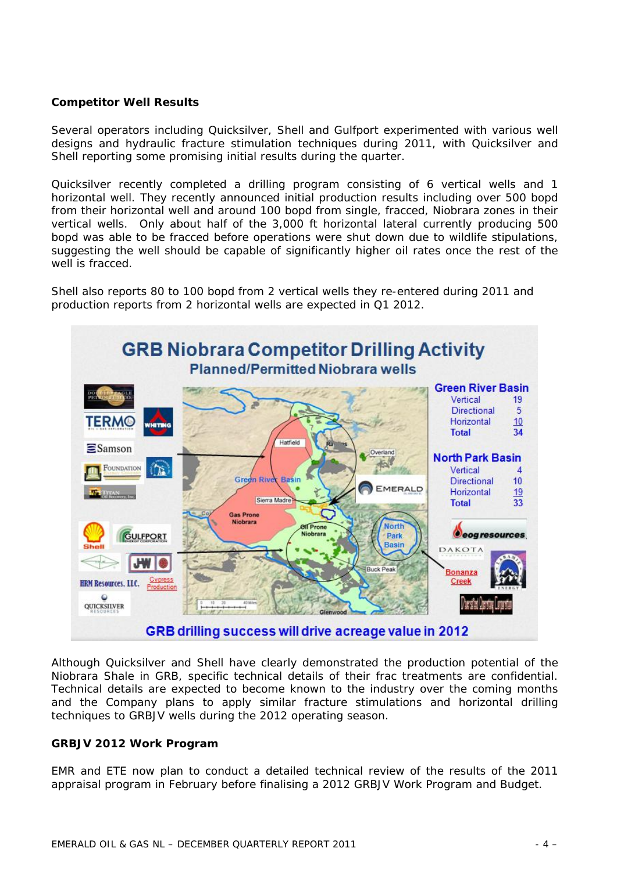#### **Competitor Well Results**

Several operators including Quicksilver, Shell and Gulfport experimented with various well designs and hydraulic fracture stimulation techniques during 2011, with Quicksilver and Shell reporting some promising initial results during the quarter.

Quicksilver recently completed a drilling program consisting of 6 vertical wells and 1 horizontal well. They recently announced initial production results including over 500 bopd from their horizontal well and around 100 bopd from single, fracced, Niobrara zones in their vertical wells. Only about half of the 3,000 ft horizontal lateral currently producing 500 bopd was able to be fracced before operations were shut down due to wildlife stipulations, suggesting the well should be capable of significantly higher oil rates once the rest of the well is fracced.

Shell also reports 80 to 100 bopd from 2 vertical wells they re-entered during 2011 and production reports from 2 horizontal wells are expected in Q1 2012.



Although Quicksilver and Shell have clearly demonstrated the production potential of the Niobrara Shale in GRB, specific technical details of their frac treatments are confidential. Technical details are expected to become known to the industry over the coming months and the Company plans to apply similar fracture stimulations and horizontal drilling techniques to GRBJV wells during the 2012 operating season.

#### **GRBJV 2012 Work Program**

EMR and ETE now plan to conduct a detailed technical review of the results of the 2011 appraisal program in February before finalising a 2012 GRBJV Work Program and Budget.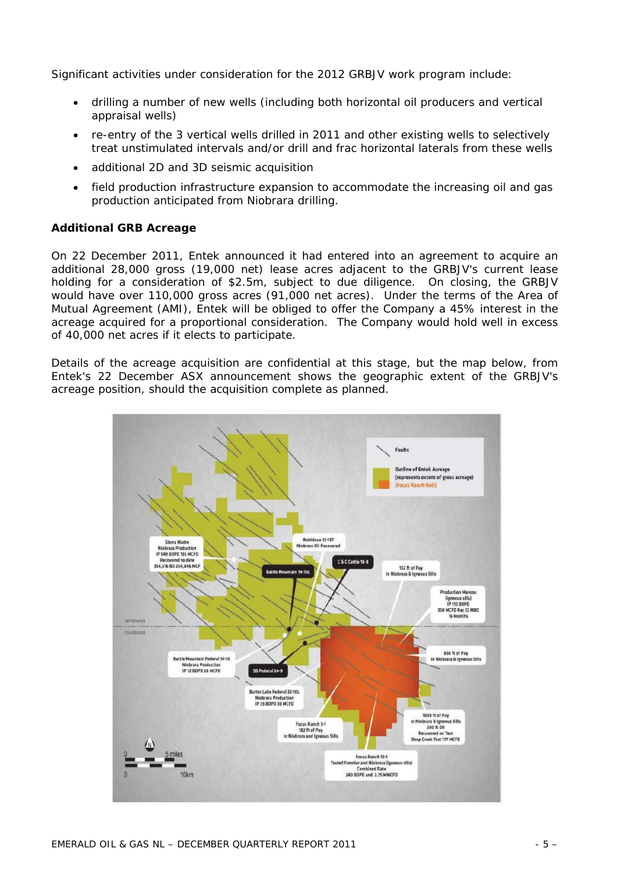Significant activities under consideration for the 2012 GRBJV work program include:

- drilling a number of new wells (including both horizontal oil producers and vertical appraisal wells)
- re-entry of the 3 vertical wells drilled in 2011 and other existing wells to selectively treat unstimulated intervals and/or drill and frac horizontal laterals from these wells
- additional 2D and 3D seismic acquisition
- field production infrastructure expansion to accommodate the increasing oil and gas production anticipated from Niobrara drilling.

#### **Additional GRB Acreage**

On 22 December 2011, Entek announced it had entered into an agreement to acquire an additional 28,000 gross (19,000 net) lease acres adjacent to the GRBJV's current lease holding for a consideration of \$2.5m, subject to due diligence. On closing, the GRBJV would have over 110,000 gross acres (91,000 net acres). Under the terms of the Area of Mutual Agreement (AMI), Entek will be obliged to offer the Company a 45% interest in the acreage acquired for a proportional consideration. The Company would hold well in excess of 40,000 net acres if it elects to participate.

Details of the acreage acquisition are confidential at this stage, but the map below, from Entek's 22 December ASX announcement shows the geographic extent of the GRBJV's acreage position, should the acquisition complete as planned.

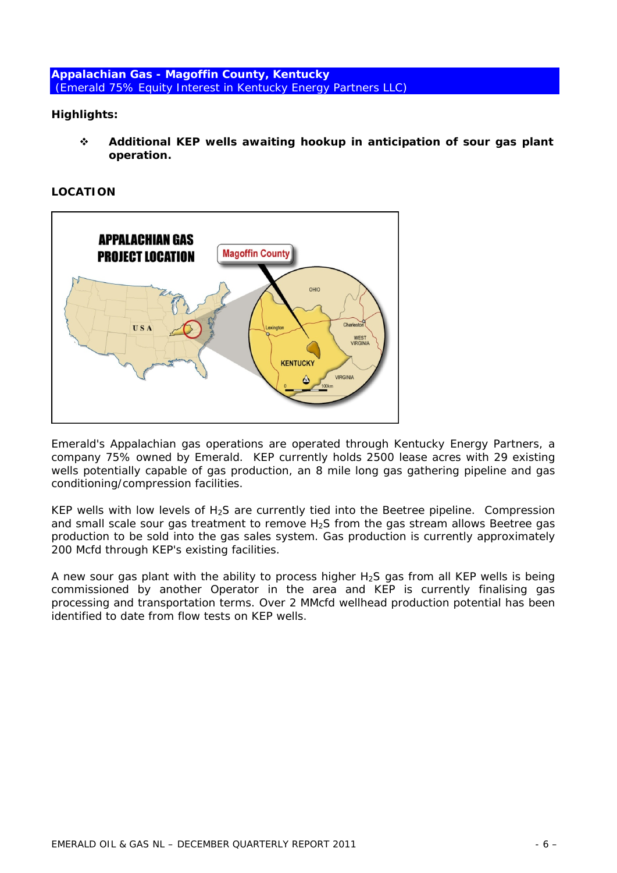**Appalachian Gas - Magoffin County, Kentucky**   *(Emerald 75% Equity Interest in Kentucky Energy Partners LLC)* 

#### **Highlights:**

 **Additional KEP wells awaiting hookup in anticipation of sour gas plant operation.** 

**LOCATION** 



Emerald's Appalachian gas operations are operated through Kentucky Energy Partners, a company 75% owned by Emerald. KEP currently holds 2500 lease acres with 29 existing wells potentially capable of gas production, an 8 mile long gas gathering pipeline and gas conditioning/compression facilities.

KEP wells with low levels of  $H_2S$  are currently tied into the Beetree pipeline. Compression and small scale sour gas treatment to remove H<sub>2</sub>S from the gas stream allows Beetree gas production to be sold into the gas sales system. Gas production is currently approximately 200 Mcfd through KEP's existing facilities.

A new sour gas plant with the ability to process higher  $H_2S$  gas from all KEP wells is being commissioned by another Operator in the area and KEP is currently finalising gas processing and transportation terms. Over 2 MMcfd wellhead production potential has been identified to date from flow tests on KEP wells.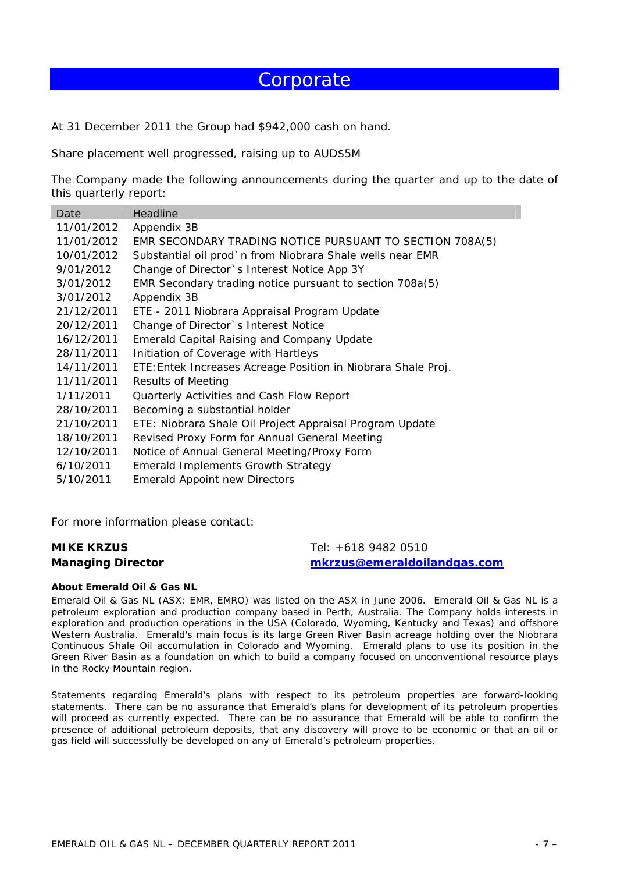# **Corporate**

At 31 December 2011 the Group had \$942,000 cash on hand.

Share placement well progressed, raising up to AUD\$5M

The Company made the following announcements during the quarter and up to the date of this quarterly report:

| Date       | Headline                                                      |
|------------|---------------------------------------------------------------|
| 11/01/2012 | Appendix 3B                                                   |
| 11/01/2012 | EMR SECONDARY TRADING NOTICE PURSUANT TO SECTION 708A(5)      |
| 10/01/2012 | Substantial oil prod`n from Niobrara Shale wells near EMR     |
| 9/01/2012  | Change of Director's Interest Notice App 3Y                   |
| 3/01/2012  | EMR Secondary trading notice pursuant to section 708a(5)      |
| 3/01/2012  | Appendix 3B                                                   |
| 21/12/2011 | ETE - 2011 Niobrara Appraisal Program Update                  |
| 20/12/2011 | Change of Director's Interest Notice                          |
| 16/12/2011 | Emerald Capital Raising and Company Update                    |
| 28/11/2011 | Initiation of Coverage with Hartleys                          |
| 14/11/2011 | ETE: Entek Increases Acreage Position in Niobrara Shale Proj. |
| 11/11/2011 | <b>Results of Meeting</b>                                     |
| 1/11/2011  | Quarterly Activities and Cash Flow Report                     |
| 28/10/2011 | Becoming a substantial holder                                 |
| 21/10/2011 | ETE: Niobrara Shale Oil Project Appraisal Program Update      |
| 18/10/2011 | Revised Proxy Form for Annual General Meeting                 |
| 12/10/2011 | Notice of Annual General Meeting/Proxy Form                   |
| 6/10/2011  | <b>Emerald Implements Growth Strategy</b>                     |
| 5/10/2011  | <b>Emerald Appoint new Directors</b>                          |
|            |                                                               |

For more information please contact:

#### **MIKE KRZUS Managing Director**

Tel: +618 9482 0510 *mkrzus@emeraldoilandgas.com*

#### **About Emerald Oil & Gas NL**

Emerald Oil & Gas NL (ASX: EMR, EMRO) was listed on the ASX in June 2006. Emerald Oil & Gas NL is a petroleum exploration and production company based in Perth, Australia. The Company holds interests in exploration and production operations in the USA (Colorado, Wyoming, Kentucky and Texas) and offshore Western Australia. Emerald's main focus is its large Green River Basin acreage holding over the Niobrara Continuous Shale Oil accumulation in Colorado and Wyoming. Emerald plans to use its position in the Green River Basin as a foundation on which to build a company focused on unconventional resource plays in the Rocky Mountain region.

*Statements regarding Emerald's plans with respect to its petroleum properties are forward-looking statements. There can be no assurance that Emerald's plans for development of its petroleum properties will proceed as currently expected. There can be no assurance that Emerald will be able to confirm the presence of additional petroleum deposits, that any discovery will prove to be economic or that an oil or gas field will successfully be developed on any of Emerald's petroleum properties.*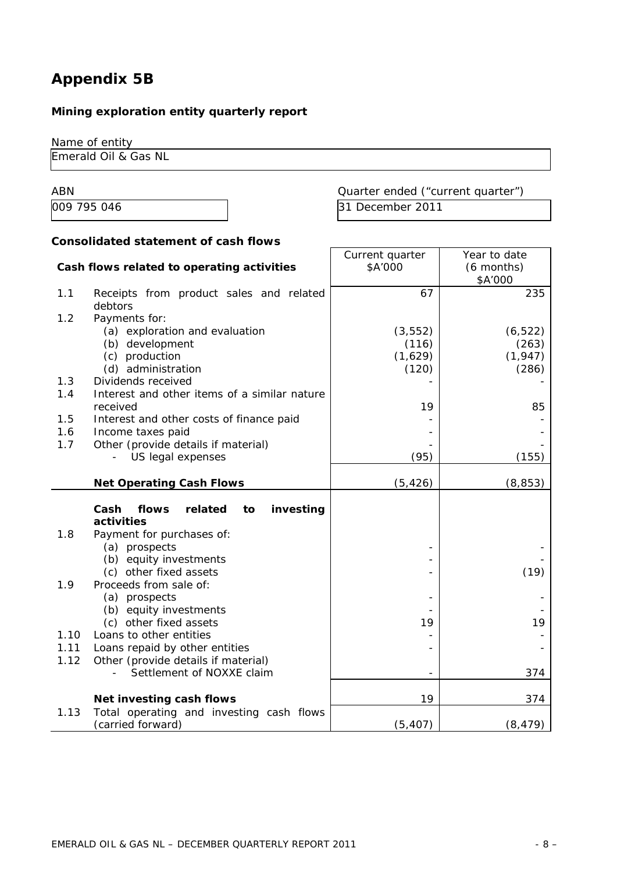# **Appendix 5B**

## **Mining exploration entity quarterly report**

Name of entity

Emerald Oil & Gas NL

ABN ABN Cuarter ended ("current quarter") 009 795 046 31 December 2011

#### **Consolidated statement of cash flows**

|                                            |                                              | Current quarter | Year to date |  |
|--------------------------------------------|----------------------------------------------|-----------------|--------------|--|
| Cash flows related to operating activities |                                              | \$A'000         | (6 months)   |  |
|                                            |                                              |                 | \$A'000      |  |
| 1.1                                        | Receipts from product sales and related      | 67              | 235          |  |
|                                            | debtors                                      |                 |              |  |
| 1.2                                        | Payments for:                                |                 |              |  |
|                                            | (a) exploration and evaluation               | (3, 552)        | (6, 522)     |  |
|                                            | (b) development                              | (116)           | (263)        |  |
|                                            | (c) production                               | (1,629)         | (1, 947)     |  |
|                                            | (d) administration                           | (120)           | (286)        |  |
| 1.3                                        | Dividends received                           |                 |              |  |
| 1.4                                        | Interest and other items of a similar nature |                 |              |  |
|                                            | received                                     | 19              | 85           |  |
| 1.5                                        | Interest and other costs of finance paid     |                 |              |  |
| 1.6                                        | Income taxes paid                            |                 |              |  |
| 1.7                                        | Other (provide details if material)          |                 |              |  |
|                                            | US legal expenses                            | (95)            | (155)        |  |
|                                            | <b>Net Operating Cash Flows</b>              | (5, 426)        | (8, 853)     |  |
|                                            |                                              |                 |              |  |
|                                            | Cash<br>flows<br>related<br>investing<br>to  |                 |              |  |
|                                            | activities                                   |                 |              |  |
| 1.8                                        | Payment for purchases of:                    |                 |              |  |
|                                            | (a) prospects                                |                 |              |  |
|                                            | (b) equity investments                       |                 |              |  |
|                                            | (c) other fixed assets                       |                 | (19)         |  |
| 1.9                                        | Proceeds from sale of:                       |                 |              |  |
|                                            | (a) prospects                                |                 |              |  |
|                                            | (b) equity investments                       |                 |              |  |
|                                            | (c) other fixed assets                       | 19              | 19           |  |
| 1.10                                       | Loans to other entities                      |                 |              |  |
| 1.11                                       | Loans repaid by other entities               |                 |              |  |
| 1.12                                       | Other (provide details if material)          |                 |              |  |
|                                            | Settlement of NOXXE claim                    |                 | 374          |  |
|                                            | Net investing cash flows                     | 19              | 374          |  |
| 1.13                                       | Total operating and investing cash flows     |                 |              |  |
|                                            | (carried forward)                            | (5, 407)        | (8, 479)     |  |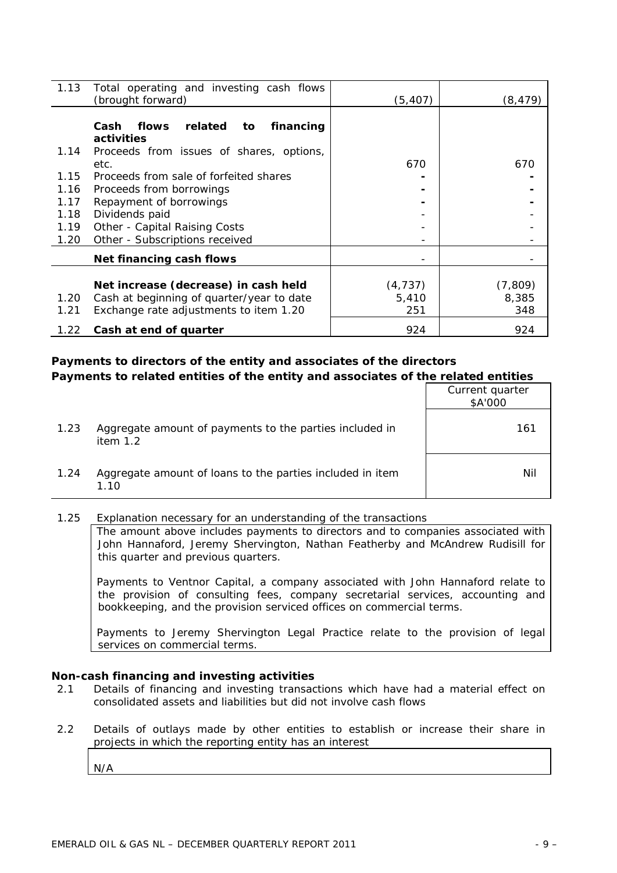| 1.13 | Total operating and investing cash flows<br>(brought forward) | (5, 407) | (8, 479) |
|------|---------------------------------------------------------------|----------|----------|
|      | related<br>Cash<br>financing<br>flows<br>to<br>activities     |          |          |
| 1.14 | Proceeds from issues of shares, options,                      |          |          |
|      | etc.                                                          | 670      | 670      |
| 1.15 | Proceeds from sale of forfeited shares                        |          |          |
| 1.16 | Proceeds from borrowings                                      |          |          |
| 1.17 | Repayment of borrowings                                       |          |          |
| 1.18 | Dividends paid                                                |          |          |
| 1.19 | Other - Capital Raising Costs                                 |          |          |
| 1.20 | Other - Subscriptions received                                |          |          |
|      | Net financing cash flows                                      |          |          |
|      |                                                               |          |          |
|      | Net increase (decrease) in cash held                          | (4, 737) | (7, 809) |
| 1.20 | Cash at beginning of quarter/year to date                     | 5,410    | 8,385    |
| 1.21 | Exchange rate adjustments to item 1.20                        | 251      | 348      |
| 1.22 | Cash at end of quarter                                        | 924      | 924      |

#### **Payments to directors of the entity and associates of the directors Payments to related entities of the entity and associates of the related entities**

|      |                                                                       | Current quarter<br>\$A'000 |
|------|-----------------------------------------------------------------------|----------------------------|
| 1.23 | Aggregate amount of payments to the parties included in<br>item $1.2$ | 161                        |
| 1.24 | Aggregate amount of loans to the parties included in item<br>1.10     | Nil                        |

#### 1.25 Explanation necessary for an understanding of the transactions

The amount above includes payments to directors and to companies associated with John Hannaford, Jeremy Shervington, Nathan Featherby and McAndrew Rudisill for this quarter and previous quarters.

Payments to Ventnor Capital, a company associated with John Hannaford relate to the provision of consulting fees, company secretarial services, accounting and bookkeeping, and the provision serviced offices on commercial terms.

Payments to Jeremy Shervington Legal Practice relate to the provision of legal services on commercial terms.

#### **Non-cash financing and investing activities**

- 2.1 Details of financing and investing transactions which have had a material effect on consolidated assets and liabilities but did not involve cash flows
- 2.2 Details of outlays made by other entities to establish or increase their share in projects in which the reporting entity has an interest

N/A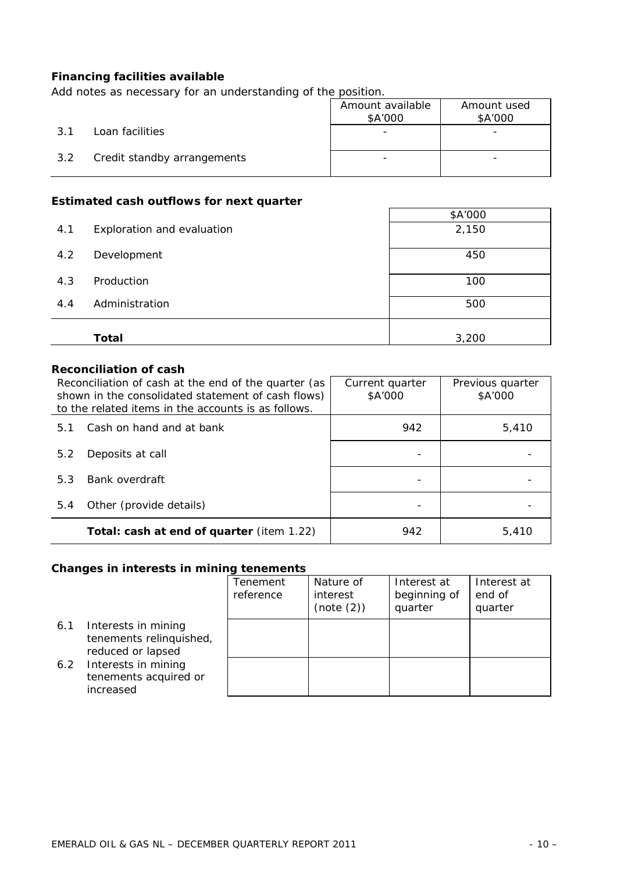#### **Financing facilities available**

*Add notes as necessary for an understanding of the position.* 

|     |                             | Amount available<br>\$A'000 | Amount used<br>\$A'000   |
|-----|-----------------------------|-----------------------------|--------------------------|
| 3.1 | Loan facilities             |                             | $\overline{\phantom{0}}$ |
| 3.2 | Credit standby arrangements |                             | -                        |

#### **Estimated cash outflows for next quarter**

| EStimated cash bathows for next quarter |                            |         |  |  |
|-----------------------------------------|----------------------------|---------|--|--|
|                                         |                            | \$A'000 |  |  |
| 4.1                                     | Exploration and evaluation | 2,150   |  |  |
| 4.2                                     | Development                | 450     |  |  |
| 4.3                                     | Production                 | 100     |  |  |
| 4.4                                     | Administration             | 500     |  |  |
|                                         |                            |         |  |  |
|                                         | Total                      | 3,200   |  |  |

#### **Reconciliation of cash**

| Reconciliation of cash at the end of the quarter (as<br>shown in the consolidated statement of cash flows)<br>to the related items in the accounts is as follows. |                                           | Current quarter<br>\$A'000 | Previous quarter<br>\$A'000 |
|-------------------------------------------------------------------------------------------------------------------------------------------------------------------|-------------------------------------------|----------------------------|-----------------------------|
| 5.1                                                                                                                                                               | Cash on hand and at bank                  | 942                        | 5,410                       |
| 5.2                                                                                                                                                               | Deposits at call                          |                            |                             |
| 5.3                                                                                                                                                               | Bank overdraft                            |                            |                             |
| 5.4                                                                                                                                                               | Other (provide details)                   |                            |                             |
|                                                                                                                                                                   | Total: cash at end of quarter (item 1.22) | 942                        | 5,410                       |

#### **Changes in interests in mining tenements**

|     |                                                                     | Tenement<br>reference | Nature of<br>interest<br>(note (2)) | Interest at<br>beginning of<br>quarter | Interest at<br>end of<br>quarter |
|-----|---------------------------------------------------------------------|-----------------------|-------------------------------------|----------------------------------------|----------------------------------|
| 6.1 | Interests in mining<br>tenements relinquished,<br>reduced or lapsed |                       |                                     |                                        |                                  |
| 6.2 | Interests in mining<br>tenements acquired or<br>increased           |                       |                                     |                                        |                                  |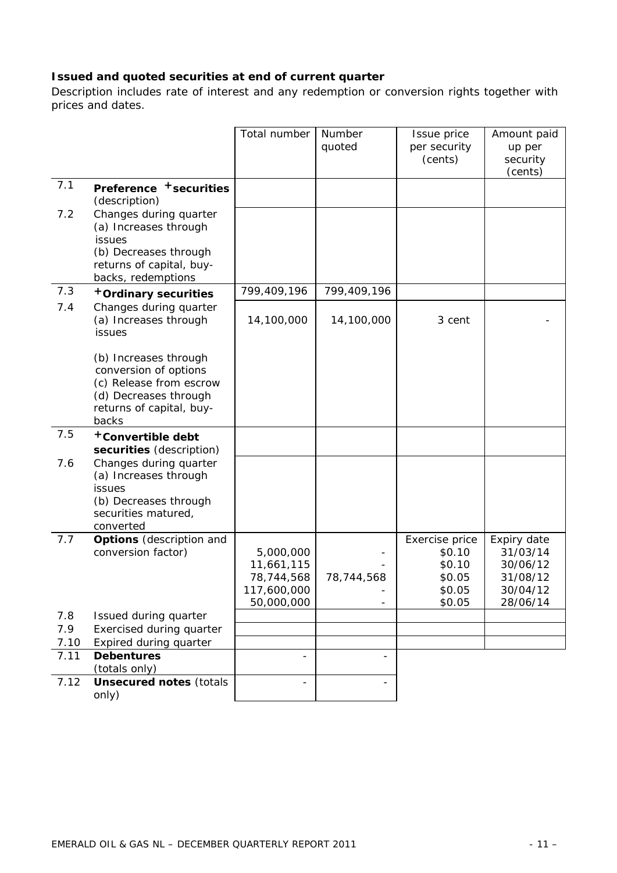### **Issued and quoted securities at end of current quarter**

*Description includes rate of interest and any redemption or conversion rights together with prices and dates.* 

|              |                                                                                                                                         | Total number                                                       | Number      | Issue price                                                      | Amount paid                                                             |
|--------------|-----------------------------------------------------------------------------------------------------------------------------------------|--------------------------------------------------------------------|-------------|------------------------------------------------------------------|-------------------------------------------------------------------------|
|              |                                                                                                                                         |                                                                    | quoted      | per security<br>(cents)                                          | up per<br>security                                                      |
|              |                                                                                                                                         |                                                                    |             |                                                                  | (cents)                                                                 |
| 7.1          | Preference + securities<br>(description)                                                                                                |                                                                    |             |                                                                  |                                                                         |
| 7.2          | Changes during quarter<br>(a) Increases through<br>issues<br>(b) Decreases through<br>returns of capital, buy-<br>backs, redemptions    |                                                                    |             |                                                                  |                                                                         |
| 7.3          | +Ordinary securities                                                                                                                    | 799,409,196                                                        | 799,409,196 |                                                                  |                                                                         |
| 7.4          | Changes during quarter<br>(a) Increases through<br>issues                                                                               | 14,100,000                                                         | 14,100,000  | 3 cent                                                           |                                                                         |
|              | (b) Increases through<br>conversion of options<br>(c) Release from escrow<br>(d) Decreases through<br>returns of capital, buy-<br>backs |                                                                    |             |                                                                  |                                                                         |
| 7.5          | +Convertible debt<br>securities (description)                                                                                           |                                                                    |             |                                                                  |                                                                         |
| 7.6          | Changes during quarter<br>(a) Increases through<br><b>issues</b><br>(b) Decreases through<br>securities matured,<br>converted           |                                                                    |             |                                                                  |                                                                         |
| 7.7          | <b>Options</b> (description and<br>conversion factor)                                                                                   | 5,000,000<br>11,661,115<br>78,744,568<br>117,600,000<br>50,000,000 | 78,744,568  | Exercise price<br>\$0.10<br>\$0.10<br>\$0.05<br>\$0.05<br>\$0.05 | Expiry date<br>31/03/14<br>30/06/12<br>31/08/12<br>30/04/12<br>28/06/14 |
| 7.8          | Issued during quarter                                                                                                                   |                                                                    |             |                                                                  |                                                                         |
| 7.9          | Exercised during quarter                                                                                                                |                                                                    |             |                                                                  |                                                                         |
| 7.10<br>7.11 | Expired during quarter<br><b>Debentures</b>                                                                                             |                                                                    |             |                                                                  |                                                                         |
|              | (totals only)                                                                                                                           |                                                                    |             |                                                                  |                                                                         |
| 7.12         | <b>Unsecured notes (totals</b><br>only)                                                                                                 |                                                                    |             |                                                                  |                                                                         |